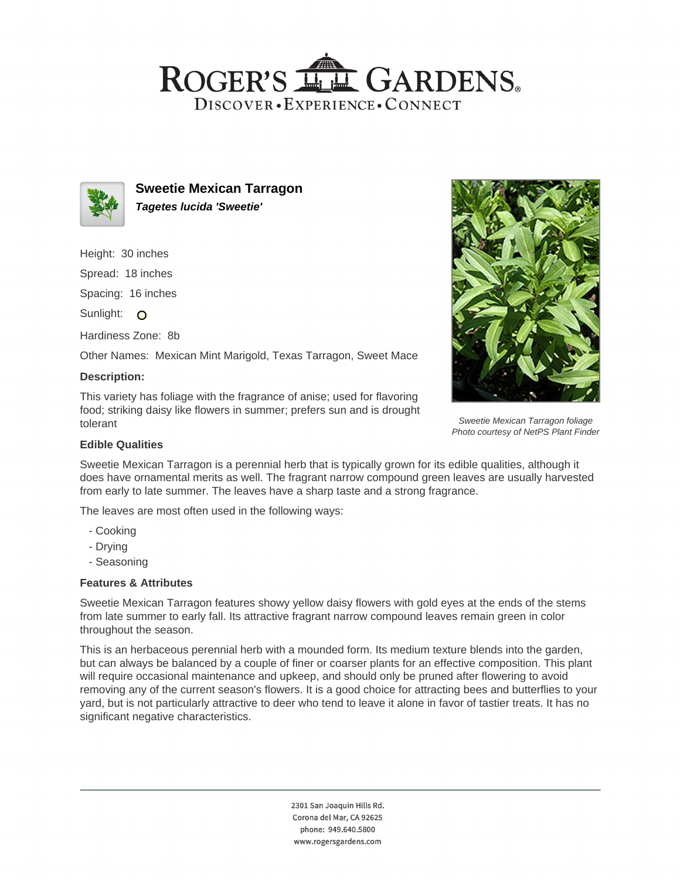# ROGER'S LL GARDENS. DISCOVER · EXPERIENCE · CONNECT



**Sweetie Mexican Tarragon Tagetes lucida 'Sweetie'**

Height: 30 inches

Spread: 18 inches

Spacing: 16 inches

Sunlight: O

Hardiness Zone: 8b

Other Names: Mexican Mint Marigold, Texas Tarragon, Sweet Mace

#### **Description:**

This variety has foliage with the fragrance of anise; used for flavoring food; striking daisy like flowers in summer; prefers sun and is drought tolerant



Sweetie Mexican Tarragon foliage Photo courtesy of NetPS Plant Finder

## **Edible Qualities**

Sweetie Mexican Tarragon is a perennial herb that is typically grown for its edible qualities, although it does have ornamental merits as well. The fragrant narrow compound green leaves are usually harvested from early to late summer. The leaves have a sharp taste and a strong fragrance.

The leaves are most often used in the following ways:

- Cooking
- Drying
- Seasoning

## **Features & Attributes**

Sweetie Mexican Tarragon features showy yellow daisy flowers with gold eyes at the ends of the stems from late summer to early fall. Its attractive fragrant narrow compound leaves remain green in color throughout the season.

This is an herbaceous perennial herb with a mounded form. Its medium texture blends into the garden, but can always be balanced by a couple of finer or coarser plants for an effective composition. This plant will require occasional maintenance and upkeep, and should only be pruned after flowering to avoid removing any of the current season's flowers. It is a good choice for attracting bees and butterflies to your yard, but is not particularly attractive to deer who tend to leave it alone in favor of tastier treats. It has no significant negative characteristics.

> 2301 San Joaquin Hills Rd. Corona del Mar, CA 92625 phone: 949.640.5800 www.rogersgardens.com